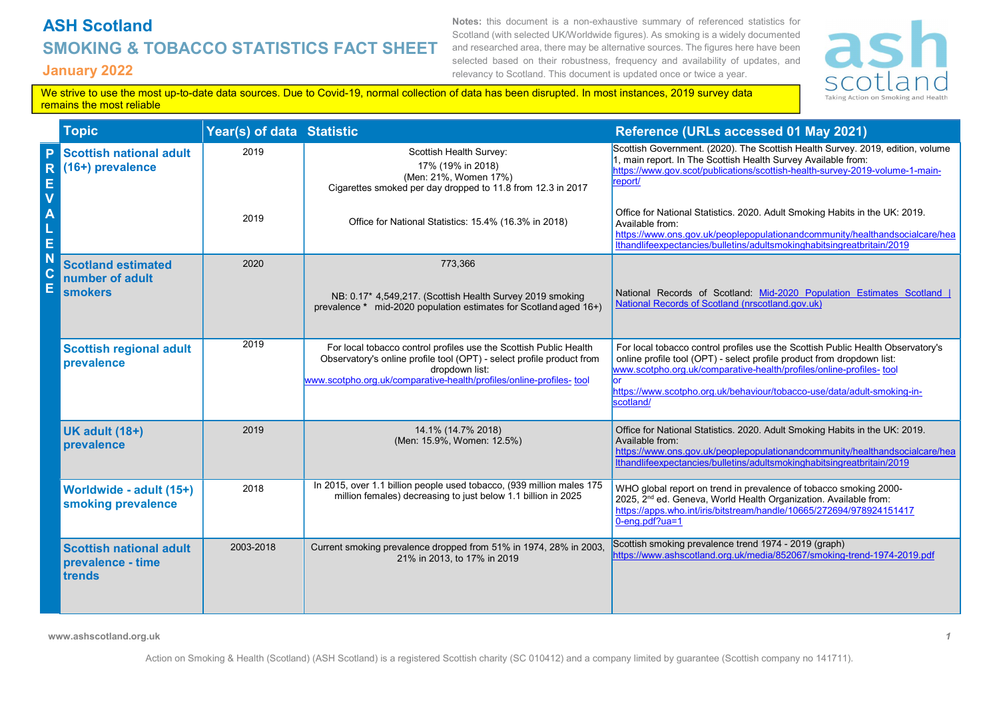## ASH Scotland SMOKING & TOBACCO STATISTICS FACT SHEET January 2022

Notes: this document is a non-exhaustive summary of referenced statistics for Scotland (with selected UK/Worldwide figures). As smoking is a widely documented and researched area, there may be alternative sources. The figures here have been selected based on their robustness, frequency and availability of updates, and relevancy to Scotland. This document is updated once or twice a year.



We strive to use the most up-to-date data sources. Due to Covid-19, normal collection of data has been disrupted. In most instances, 2019 survey data remains the most reliable

|             | <b>Topic</b>                                                   | Year(s) of data Statistic |                                                                                                                                                                                                                                      | Reference (URLs accessed 01 May 2021)                                                                                                                                                                                                                                                                                     |
|-------------|----------------------------------------------------------------|---------------------------|--------------------------------------------------------------------------------------------------------------------------------------------------------------------------------------------------------------------------------------|---------------------------------------------------------------------------------------------------------------------------------------------------------------------------------------------------------------------------------------------------------------------------------------------------------------------------|
| Е<br>V      | <b>Scottish national adult</b><br>(16+) prevalence             | 2019                      | Scottish Health Survey:<br>17% (19% in 2018)<br>(Men: 21%, Women 17%)<br>Cigarettes smoked per day dropped to 11.8 from 12.3 in 2017                                                                                                 | Scottish Government. (2020). The Scottish Health Survey. 2019, edition, volume<br>1, main report. In The Scottish Health Survey Available from:<br>https://www.gov.scot/publications/scottish-health-survey-2019-volume-1-main-<br>report/                                                                                |
| E           |                                                                | 2019                      | Office for National Statistics: 15.4% (16.3% in 2018)                                                                                                                                                                                | Office for National Statistics. 2020. Adult Smoking Habits in the UK: 2019.<br>Available from:<br>https://www.ons.gov.uk/peoplepopulationandcommunity/healthandsocialcare/hea<br>Ithandlifeexpectancies/bulletins/adultsmokinghabitsingreatbritain/2019                                                                   |
| N<br>С<br>Ē | <b>Scotland estimated</b><br>number of adult<br><b>smokers</b> | 2020                      | 773,366<br>NB: 0.17* 4,549,217. (Scottish Health Survey 2019 smoking<br>prevalence * mid-2020 population estimates for Scotland aged 16+)                                                                                            | National Records of Scotland: Mid-2020 Population Estimates Scotland  <br>National Records of Scotland (nrscotland.gov.uk)                                                                                                                                                                                                |
|             | <b>Scottish regional adult</b><br>prevalence                   | 2019                      | For local tobacco control profiles use the Scottish Public Health<br>Observatory's online profile tool (OPT) - select profile product from<br>dropdown list:<br>www.scotpho.org.uk/comparative-health/profiles/online-profiles- tool | For local tobacco control profiles use the Scottish Public Health Observatory's<br>online profile tool (OPT) - select profile product from dropdown list:<br>www.scotpho.org.uk/comparative-health/profiles/online-profiles- tool<br>https://www.scotpho.org.uk/behaviour/tobacco-use/data/adult-smoking-in-<br>scotland/ |
|             | <b>UK adult (18+)</b><br>prevalence                            | 2019                      | 14.1% (14.7% 2018)<br>(Men: 15.9%, Women: 12.5%)                                                                                                                                                                                     | Office for National Statistics. 2020. Adult Smoking Habits in the UK: 2019.<br>Available from:<br>https://www.ons.gov.uk/peoplepopulationandcommunity/healthandsocialcare/hea<br>Ithandlifeexpectancies/bulletins/adultsmokinghabitsingreatbritain/2019                                                                   |
|             | Worldwide - adult (15+)<br>smoking prevalence                  | 2018                      | In 2015, over 1.1 billion people used tobacco, (939 million males 175<br>million females) decreasing to just below 1.1 billion in 2025                                                                                               | WHO global report on trend in prevalence of tobacco smoking 2000-<br>2025, 2 <sup>nd</sup> ed. Geneva, World Health Organization. Available from:<br>https://apps.who.int/iris/bitstream/handle/10665/272694/978924151417<br>0-eng.pdf?ua=1                                                                               |
|             | <b>Scottish national adult</b><br>prevalence - time<br>trends  | 2003-2018                 | Current smoking prevalence dropped from 51% in 1974, 28% in 2003,<br>21% in 2013, to 17% in 2019                                                                                                                                     | Scottish smoking prevalence trend 1974 - 2019 (graph)<br>https://www.ashscotland.org.uk/media/852067/smoking-trend-1974-2019.pdf                                                                                                                                                                                          |

www.ashscotland.org.uk 1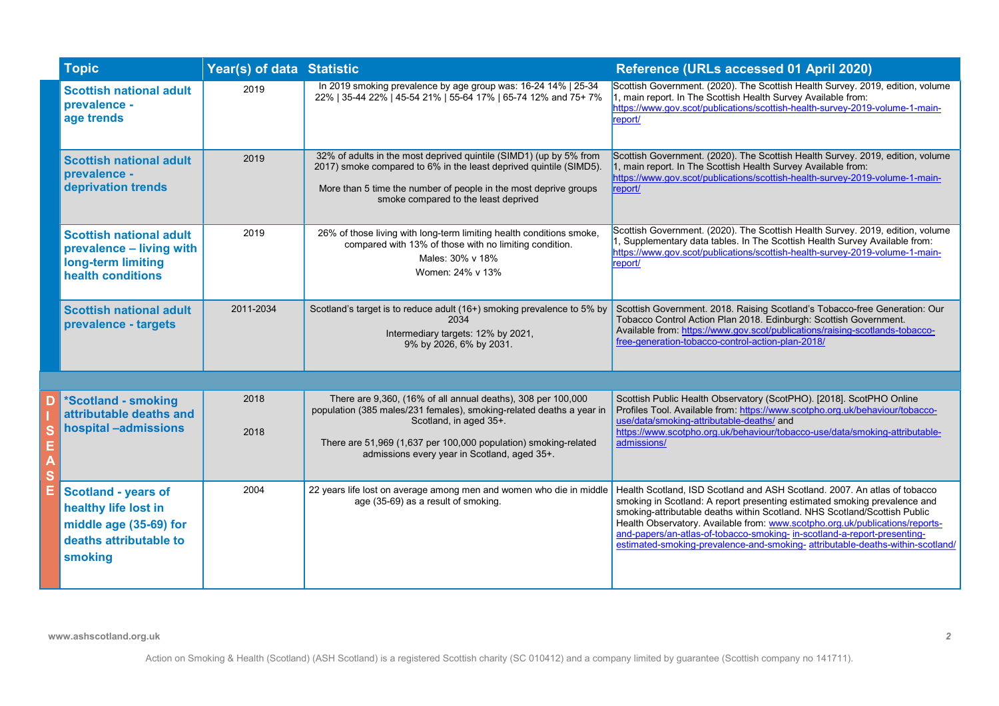| <b>Topic</b>                                                                                                      | Year(s) of data Statistic |                                                                                                                                                                                                                                                                                   | Reference (URLs accessed 01 April 2020)                                                                                                                                                                                                                                                                                                                                                                                                                                           |
|-------------------------------------------------------------------------------------------------------------------|---------------------------|-----------------------------------------------------------------------------------------------------------------------------------------------------------------------------------------------------------------------------------------------------------------------------------|-----------------------------------------------------------------------------------------------------------------------------------------------------------------------------------------------------------------------------------------------------------------------------------------------------------------------------------------------------------------------------------------------------------------------------------------------------------------------------------|
| <b>Scottish national adult</b><br>prevalence -<br>age trends                                                      | 2019                      | In 2019 smoking prevalence by age group was: 16-24 14%   25-34<br>22%   35-44 22%   45-54 21%   55-64 17%   65-74 12% and 75+ 7%                                                                                                                                                  | Scottish Government. (2020). The Scottish Health Survey. 2019, edition, volume<br>1, main report. In The Scottish Health Survey Available from:<br>https://www.gov.scot/publications/scottish-health-survey-2019-volume-1-main-<br>report/                                                                                                                                                                                                                                        |
| <b>Scottish national adult</b><br>prevalence -<br>deprivation trends                                              | 2019                      | 32% of adults in the most deprived quintile (SIMD1) (up by 5% from<br>2017) smoke compared to 6% in the least deprived quintile (SIMD5).<br>More than 5 time the number of people in the most deprive groups<br>smoke compared to the least deprived                              | Scottish Government. (2020). The Scottish Health Survey. 2019, edition, volume<br>1, main report. In The Scottish Health Survey Available from:<br>https://www.gov.scot/publications/scottish-health-survey-2019-volume-1-main-<br>report/                                                                                                                                                                                                                                        |
| <b>Scottish national adult</b><br>prevalence - living with<br>long-term limiting<br>health conditions             | 2019                      | 26% of those living with long-term limiting health conditions smoke,<br>compared with 13% of those with no limiting condition.<br>Males: 30% v 18%<br>Women: 24% v 13%                                                                                                            | Scottish Government. (2020). The Scottish Health Survey. 2019, edition, volume<br>, Supplementary data tables. In The Scottish Health Survey Available from:<br>https://www.gov.scot/publications/scottish-health-survey-2019-volume-1-main-<br>report/                                                                                                                                                                                                                           |
| <b>Scottish national adult</b><br>prevalence - targets                                                            | 2011-2034                 | Scotland's target is to reduce adult (16+) smoking prevalence to 5% by<br>2034<br>Intermediary targets: 12% by 2021,<br>9% by 2026, 6% by 2031.                                                                                                                                   | Scottish Government. 2018. Raising Scotland's Tobacco-free Generation: Our<br>Tobacco Control Action Plan 2018. Edinburgh: Scottish Government.<br>Available from: https://www.gov.scot/publications/raising-scotlands-tobacco-<br>free-generation-tobacco-control-action-plan-2018/                                                                                                                                                                                              |
|                                                                                                                   |                           |                                                                                                                                                                                                                                                                                   |                                                                                                                                                                                                                                                                                                                                                                                                                                                                                   |
| *Scotland - smoking<br>attributable deaths and<br>hospital -admissions                                            | 2018<br>2018              | There are 9,360, (16% of all annual deaths), 308 per 100,000<br>population (385 males/231 females), smoking-related deaths a year in<br>Scotland, in aged 35+.<br>There are 51,969 (1,637 per 100,000 population) smoking-related<br>admissions every year in Scotland, aged 35+. | Scottish Public Health Observatory (ScotPHO). [2018]. ScotPHO Online<br>Profiles Tool. Available from: https://www.scotpho.org.uk/behaviour/tobacco-<br>use/data/smoking-attributable-deaths/ and<br>https://www.scotpho.org.uk/behaviour/tobacco-use/data/smoking-attributable-<br>admissions/                                                                                                                                                                                   |
| <b>Scotland - years of</b><br>healthy life lost in<br>middle age (35-69) for<br>deaths attributable to<br>smoking | 2004                      | 22 years life lost on average among men and women who die in middle<br>age (35-69) as a result of smoking.                                                                                                                                                                        | Health Scotland, ISD Scotland and ASH Scotland. 2007. An atlas of tobacco<br>smoking in Scotland: A report presenting estimated smoking prevalence and<br>smoking-attributable deaths within Scotland. NHS Scotland/Scottish Public<br>Health Observatory. Available from: www.scotpho.org.uk/publications/reports-<br>and-papers/an-atlas-of-tobacco-smoking- in-scotland-a-report-presenting-<br>estimated-smoking-prevalence-and-smoking- attributable-deaths-within-scotland/ |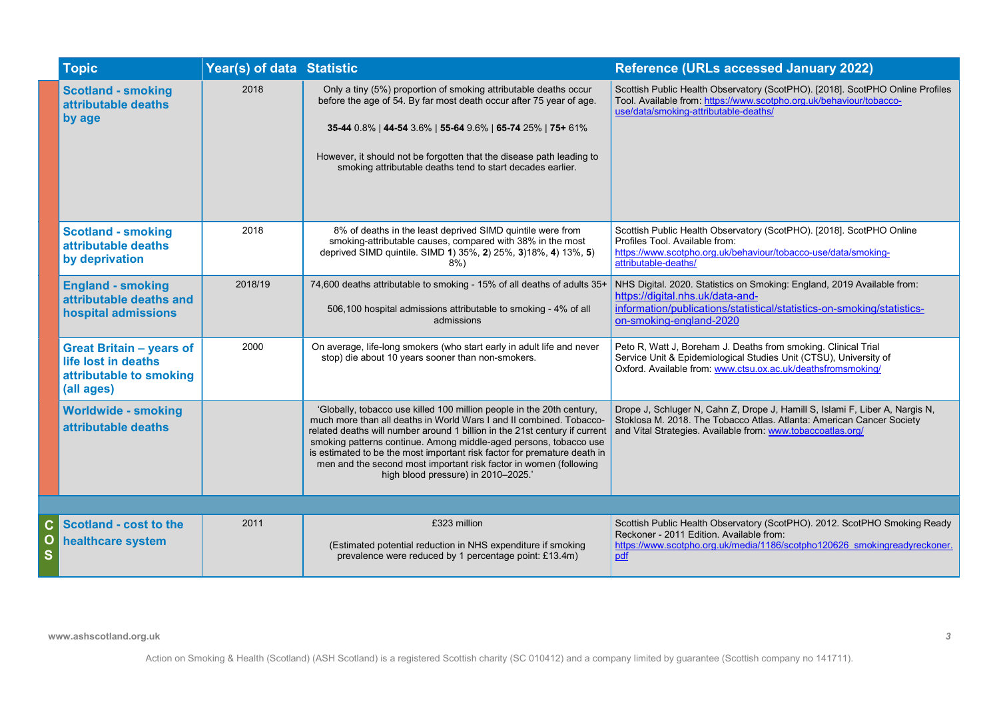|                       | <b>Topic</b>                                                                                    | Year(s) of data Statistic |                                                                                                                                                                                                                                                                                                                                                                                                                                                                                         | <b>Reference (URLs accessed January 2022)</b>                                                                                                                                                                        |
|-----------------------|-------------------------------------------------------------------------------------------------|---------------------------|-----------------------------------------------------------------------------------------------------------------------------------------------------------------------------------------------------------------------------------------------------------------------------------------------------------------------------------------------------------------------------------------------------------------------------------------------------------------------------------------|----------------------------------------------------------------------------------------------------------------------------------------------------------------------------------------------------------------------|
|                       | <b>Scotland - smoking</b><br>attributable deaths<br>by age                                      | 2018                      | Only a tiny (5%) proportion of smoking attributable deaths occur<br>before the age of 54. By far most death occur after 75 year of age.<br>35-44 0.8%   44-54 3.6%   55-64 9.6%   65-74 25%   75+ 61%                                                                                                                                                                                                                                                                                   | Scottish Public Health Observatory (ScotPHO). [2018]. ScotPHO Online Profiles<br>Tool. Available from: https://www.scotpho.org.uk/behaviour/tobacco-<br>use/data/smoking-attributable-deaths/                        |
|                       |                                                                                                 |                           | However, it should not be forgotten that the disease path leading to<br>smoking attributable deaths tend to start decades earlier.                                                                                                                                                                                                                                                                                                                                                      |                                                                                                                                                                                                                      |
|                       | <b>Scotland - smoking</b><br>attributable deaths<br>by deprivation                              | 2018                      | 8% of deaths in the least deprived SIMD quintile were from<br>smoking-attributable causes, compared with 38% in the most<br>deprived SIMD quintile. SIMD 1) 35%, 2) 25%, 3)18%, 4) 13%, 5)<br>$8\%)$                                                                                                                                                                                                                                                                                    | Scottish Public Health Observatory (ScotPHO). [2018]. ScotPHO Online<br>Profiles Tool. Available from:<br>https://www.scotpho.org.uk/behaviour/tobacco-use/data/smoking-<br>attributable-deaths/                     |
|                       | <b>England - smoking</b><br>attributable deaths and<br>hospital admissions                      | 2018/19                   | 74,600 deaths attributable to smoking - 15% of all deaths of adults 35+<br>506,100 hospital admissions attributable to smoking - 4% of all<br>admissions                                                                                                                                                                                                                                                                                                                                | NHS Digital. 2020. Statistics on Smoking: England, 2019 Available from:<br>https://digital.nhs.uk/data-and-<br>information/publications/statistical/statistics-on-smoking/statistics-<br>on-smoking-england-2020     |
|                       | <b>Great Britain - years of</b><br>life lost in deaths<br>attributable to smoking<br>(all ages) | 2000                      | On average, life-long smokers (who start early in adult life and never<br>stop) die about 10 years sooner than non-smokers.                                                                                                                                                                                                                                                                                                                                                             | Peto R, Watt J, Boreham J. Deaths from smoking. Clinical Trial<br>Service Unit & Epidemiological Studies Unit (CTSU), University of<br>Oxford. Available from: www.ctsu.ox.ac.uk/deathsfromsmoking/                  |
|                       | <b>Worldwide - smoking</b><br>attributable deaths                                               |                           | 'Globally, tobacco use killed 100 million people in the 20th century,<br>much more than all deaths in World Wars I and II combined. Tobacco-<br>related deaths will number around 1 billion in the 21st century if current<br>smoking patterns continue. Among middle-aged persons, tobacco use<br>is estimated to be the most important risk factor for premature death in<br>men and the second most important risk factor in women (following<br>high blood pressure) in 2010-2025.' | Drope J, Schluger N, Cahn Z, Drope J, Hamill S, Islami F, Liber A, Nargis N,<br>Stoklosa M. 2018. The Tobacco Atlas. Atlanta: American Cancer Society<br>and Vital Strategies. Available from: www.tobaccoatlas.org/ |
|                       |                                                                                                 |                           |                                                                                                                                                                                                                                                                                                                                                                                                                                                                                         |                                                                                                                                                                                                                      |
| $\mathbf c$<br>О<br>S | <b>Scotland - cost to the</b><br>healthcare system                                              | 2011                      | £323 million<br>(Estimated potential reduction in NHS expenditure if smoking<br>prevalence were reduced by 1 percentage point: £13.4m)                                                                                                                                                                                                                                                                                                                                                  | Scottish Public Health Observatory (ScotPHO). 2012. ScotPHO Smoking Ready<br>Reckoner - 2011 Edition. Available from:<br>https://www.scotpho.org.uk/media/1186/scotpho120626 smokingreadyreckoner.<br>pdf            |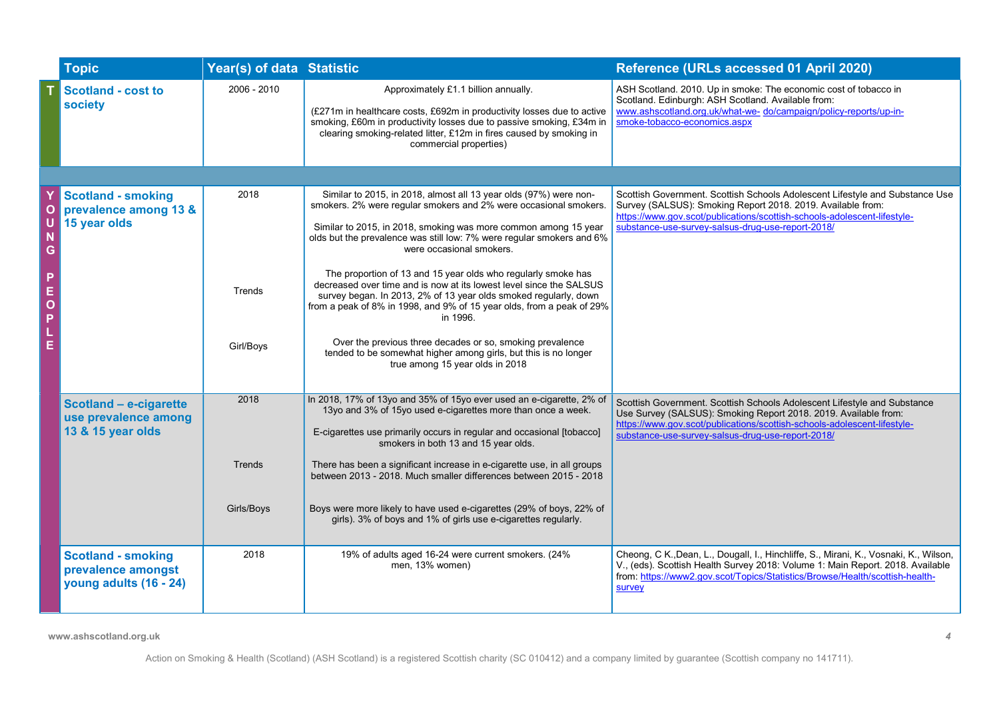|                       | <b>Topic</b>                                                              | Year(s) of data Statistic    |                                                                                                                                                                                                                                                                                                                                                                                                                                                                                                                                                                                                                                                                                                                                                                                   | Reference (URLs accessed 01 April 2020)                                                                                                                                                                                                                                      |
|-----------------------|---------------------------------------------------------------------------|------------------------------|-----------------------------------------------------------------------------------------------------------------------------------------------------------------------------------------------------------------------------------------------------------------------------------------------------------------------------------------------------------------------------------------------------------------------------------------------------------------------------------------------------------------------------------------------------------------------------------------------------------------------------------------------------------------------------------------------------------------------------------------------------------------------------------|------------------------------------------------------------------------------------------------------------------------------------------------------------------------------------------------------------------------------------------------------------------------------|
|                       | <b>Scotland - cost to</b><br>society                                      | 2006 - 2010                  | Approximately £1.1 billion annually.<br>(£271m in healthcare costs, £692m in productivity losses due to active<br>smoking, £60m in productivity losses due to passive smoking, £34m in<br>clearing smoking-related litter, £12m in fires caused by smoking in<br>commercial properties)                                                                                                                                                                                                                                                                                                                                                                                                                                                                                           | ASH Scotland. 2010. Up in smoke: The economic cost of tobacco in<br>Scotland. Edinburgh: ASH Scotland. Available from:<br>www.ashscotland.org.uk/what-we- do/campaign/policy-reports/up-in-<br>smoke-tobacco-economics.aspx                                                  |
|                       |                                                                           |                              |                                                                                                                                                                                                                                                                                                                                                                                                                                                                                                                                                                                                                                                                                                                                                                                   |                                                                                                                                                                                                                                                                              |
| G<br>P<br>E<br>O<br>P | <b>Scotland - smoking</b><br>prevalence among 13 &<br>15 year olds        | 2018<br>Trends<br>Girl/Boys  | Similar to 2015, in 2018, almost all 13 year olds (97%) were non-<br>smokers. 2% were regular smokers and 2% were occasional smokers.<br>Similar to 2015, in 2018, smoking was more common among 15 year<br>olds but the prevalence was still low: 7% were regular smokers and 6%<br>were occasional smokers.<br>The proportion of 13 and 15 year olds who regularly smoke has<br>decreased over time and is now at its lowest level since the SALSUS<br>survey began. In 2013, 2% of 13 year olds smoked regularly, down<br>from a peak of 8% in 1998, and 9% of 15 year olds, from a peak of 29%<br>in 1996.<br>Over the previous three decades or so, smoking prevalence<br>tended to be somewhat higher among girls, but this is no longer<br>true among 15 year olds in 2018 | Scottish Government. Scottish Schools Adolescent Lifestyle and Substance Use<br>Survey (SALSUS): Smoking Report 2018. 2019. Available from:<br>https://www.gov.scot/publications/scottish-schools-adolescent-lifestyle-<br>substance-use-survey-salsus-drug-use-report-2018/ |
|                       | Scotland - e-cigarette<br>use prevalence among<br>13 & 15 year olds       | 2018<br>Trends<br>Girls/Boys | In 2018, 17% of 13yo and 35% of 15yo ever used an e-cigarette, 2% of<br>13yo and 3% of 15yo used e-cigarettes more than once a week.<br>E-cigarettes use primarily occurs in regular and occasional [tobacco]<br>smokers in both 13 and 15 year olds.<br>There has been a significant increase in e-cigarette use, in all groups<br>between 2013 - 2018. Much smaller differences between 2015 - 2018<br>Boys were more likely to have used e-cigarettes (29% of boys, 22% of<br>girls). 3% of boys and 1% of girls use e-cigarettes regularly.                                                                                                                                                                                                                                   | Scottish Government. Scottish Schools Adolescent Lifestyle and Substance<br>Use Survey (SALSUS): Smoking Report 2018. 2019. Available from:<br>https://www.gov.scot/publications/scottish-schools-adolescent-lifestyle-<br>substance-use-survey-salsus-drug-use-report-2018/ |
|                       | <b>Scotland - smoking</b><br>prevalence amongst<br>young adults (16 - 24) | 2018                         | 19% of adults aged 16-24 were current smokers. (24%<br>men, 13% women)                                                                                                                                                                                                                                                                                                                                                                                                                                                                                                                                                                                                                                                                                                            | Cheong, C K., Dean, L., Dougall, I., Hinchliffe, S., Mirani, K., Vosnaki, K., Wilson,<br>V., (eds). Scottish Health Survey 2018: Volume 1: Main Report. 2018. Available<br>from: https://www2.gov.scot/Topics/Statistics/Browse/Health/scottish-health-<br>survey            |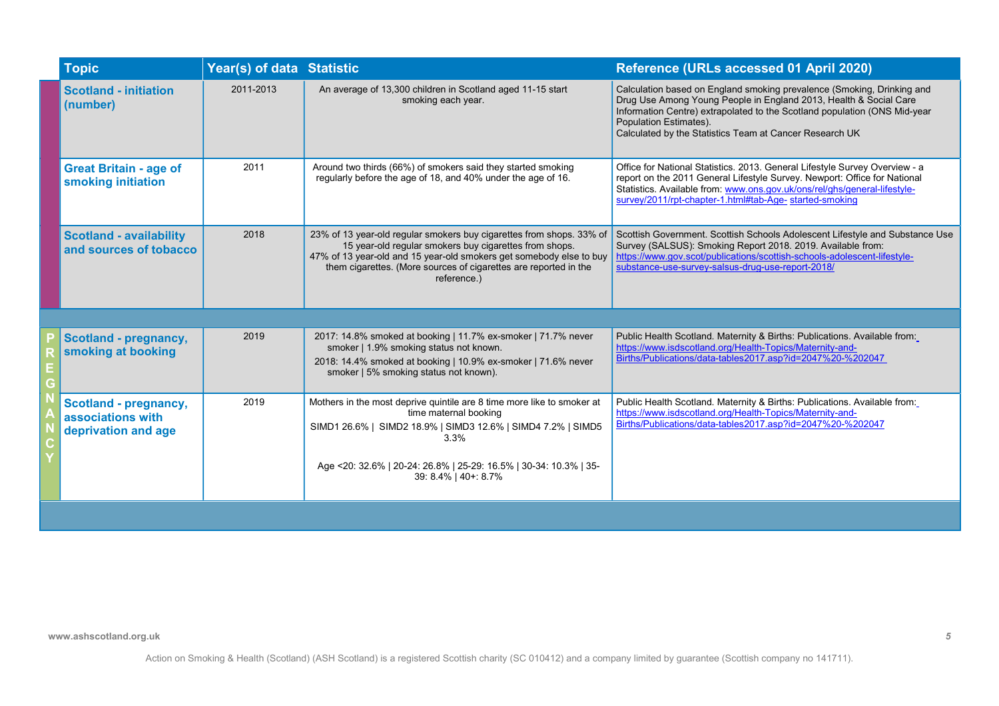| <b>Topic</b>                                                             | Year(s) of data Statistic |                                                                                                                                                                                                                                                                                          | Reference (URLs accessed 01 April 2020)                                                                                                                                                                                                                                                                       |
|--------------------------------------------------------------------------|---------------------------|------------------------------------------------------------------------------------------------------------------------------------------------------------------------------------------------------------------------------------------------------------------------------------------|---------------------------------------------------------------------------------------------------------------------------------------------------------------------------------------------------------------------------------------------------------------------------------------------------------------|
| <b>Scotland - initiation</b><br>(number)                                 | 2011-2013                 | An average of 13,300 children in Scotland aged 11-15 start<br>smoking each year.                                                                                                                                                                                                         | Calculation based on England smoking prevalence (Smoking, Drinking and<br>Drug Use Among Young People in England 2013, Health & Social Care<br>Information Centre) extrapolated to the Scotland population (ONS Mid-year<br>Population Estimates).<br>Calculated by the Statistics Team at Cancer Research UK |
| <b>Great Britain - age of</b><br>smoking initiation                      | 2011                      | Around two thirds (66%) of smokers said they started smoking<br>regularly before the age of 18, and 40% under the age of 16.                                                                                                                                                             | Office for National Statistics. 2013. General Lifestyle Survey Overview - a<br>report on the 2011 General Lifestyle Survey. Newport: Office for National<br>Statistics. Available from: www.ons.gov.uk/ons/rel/ghs/general-lifestyle-<br>survey/2011/rpt-chapter-1.html#tab-Age- started-smoking              |
| <b>Scotland - availability</b><br>and sources of tobacco                 | 2018                      | 23% of 13 year-old regular smokers buy cigarettes from shops. 33% of<br>15 year-old regular smokers buy cigarettes from shops.<br>47% of 13 year-old and 15 year-old smokers get somebody else to buy<br>them cigarettes. (More sources of cigarettes are reported in the<br>reference.) | Scottish Government. Scottish Schools Adolescent Lifestyle and Substance Use<br>Survey (SALSUS): Smoking Report 2018. 2019. Available from:<br>https://www.gov.scot/publications/scottish-schools-adolescent-lifestyle-<br>substance-use-survey-salsus-drug-use-report-2018/                                  |
|                                                                          |                           |                                                                                                                                                                                                                                                                                          |                                                                                                                                                                                                                                                                                                               |
| <b>Scotland - pregnancy,</b><br>smoking at booking                       | 2019                      | 2017: 14.8% smoked at booking   11.7% ex-smoker   71.7% never<br>smoker   1.9% smoking status not known.<br>2018: 14.4% smoked at booking   10.9% ex-smoker   71.6% never<br>smoker   5% smoking status not known).                                                                      | Public Health Scotland. Maternity & Births: Publications. Available from:<br>https://www.isdscotland.org/Health-Topics/Maternity-and-<br>Births/Publications/data-tables2017.asp?id=2047%20-%202047                                                                                                           |
| <b>Scotland - pregnancy,</b><br>associations with<br>deprivation and age | 2019                      | Mothers in the most deprive quintile are 8 time more like to smoker at<br>time maternal booking<br>SIMD1 26.6%   SIMD2 18.9%   SIMD3 12.6%   SIMD4 7.2%   SIMD5<br>$3.3\%$                                                                                                               | Public Health Scotland. Maternity & Births: Publications. Available from:<br>https://www.isdscotland.org/Health-Topics/Maternity-and-<br>Births/Publications/data-tables2017.asp?id=2047%20-%202047                                                                                                           |
|                                                                          |                           | Age <20: 32.6%   20-24: 26.8%   25-29: 16.5%   30-34: 10.3%   35-<br>39: 8.4%   40+: 8.7%                                                                                                                                                                                                |                                                                                                                                                                                                                                                                                                               |
|                                                                          |                           |                                                                                                                                                                                                                                                                                          |                                                                                                                                                                                                                                                                                                               |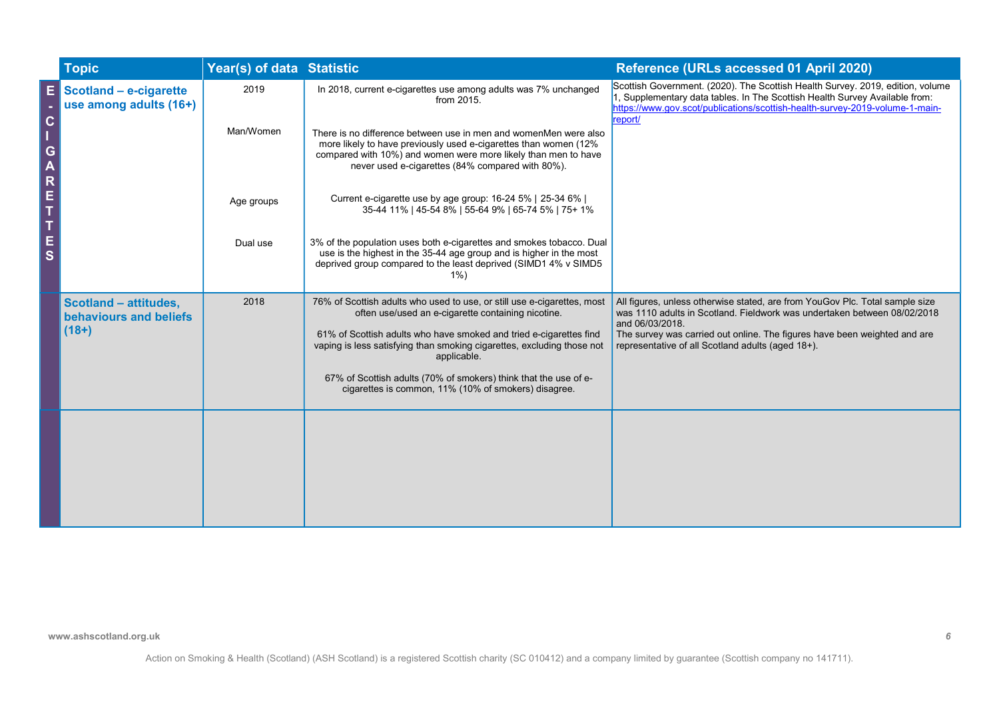|             | <b>Topic</b>                                                      | Year(s) of data Statistic |                                                                                                                                                                                                                                                            | Reference (URLs accessed 01 April 2020)                                                                                                                                                                                                                  |
|-------------|-------------------------------------------------------------------|---------------------------|------------------------------------------------------------------------------------------------------------------------------------------------------------------------------------------------------------------------------------------------------------|----------------------------------------------------------------------------------------------------------------------------------------------------------------------------------------------------------------------------------------------------------|
|             | Scotland - e-cigarette<br>use among adults (16+)                  | 2019                      | In 2018, current e-cigarettes use among adults was 7% unchanged<br>from 2015.                                                                                                                                                                              | Scottish Government. (2020). The Scottish Health Survey. 2019, edition, volume<br>I, Supplementary data tables. In The Scottish Health Survey Available from:<br>https://www.gov.scot/publications/scottish-health-survey-2019-volume-1-main-<br>report/ |
| G<br>R      |                                                                   | Man/Women                 | There is no difference between use in men and womenMen were also<br>more likely to have previously used e-cigarettes than women (12%<br>compared with 10%) and women were more likely than men to have<br>never used e-cigarettes (84% compared with 80%). |                                                                                                                                                                                                                                                          |
| E<br>T      |                                                                   | Age groups                | Current e-cigarette use by age group: 16-24 5%   25-34 6%  <br>35-44 11%   45-54 8%   55-64 9%   65-74 5%   75+ 1%                                                                                                                                         |                                                                                                                                                                                                                                                          |
| $rac{E}{S}$ |                                                                   | Dual use                  | 3% of the population uses both e-cigarettes and smokes tobacco. Dual<br>use is the highest in the 35-44 age group and is higher in the most<br>deprived group compared to the least deprived (SIMD1 4% v SIMD5<br>$1\%$                                    |                                                                                                                                                                                                                                                          |
|             | <b>Scotland - attitudes,</b><br>behaviours and beliefs<br>$(18+)$ | 2018                      | 76% of Scottish adults who used to use, or still use e-cigarettes, most<br>often use/used an e-cigarette containing nicotine.                                                                                                                              | All figures, unless otherwise stated, are from YouGov Plc. Total sample size<br>was 1110 adults in Scotland. Fieldwork was undertaken between 08/02/2018<br>and 06/03/2018.                                                                              |
|             |                                                                   |                           | 61% of Scottish adults who have smoked and tried e-cigarettes find<br>vaping is less satisfying than smoking cigarettes, excluding those not<br>applicable.                                                                                                | The survey was carried out online. The figures have been weighted and are<br>representative of all Scotland adults (aged 18+).                                                                                                                           |
|             |                                                                   |                           | 67% of Scottish adults (70% of smokers) think that the use of e-<br>cigarettes is common, 11% (10% of smokers) disagree.                                                                                                                                   |                                                                                                                                                                                                                                                          |
|             |                                                                   |                           |                                                                                                                                                                                                                                                            |                                                                                                                                                                                                                                                          |
|             |                                                                   |                           |                                                                                                                                                                                                                                                            |                                                                                                                                                                                                                                                          |
|             |                                                                   |                           |                                                                                                                                                                                                                                                            |                                                                                                                                                                                                                                                          |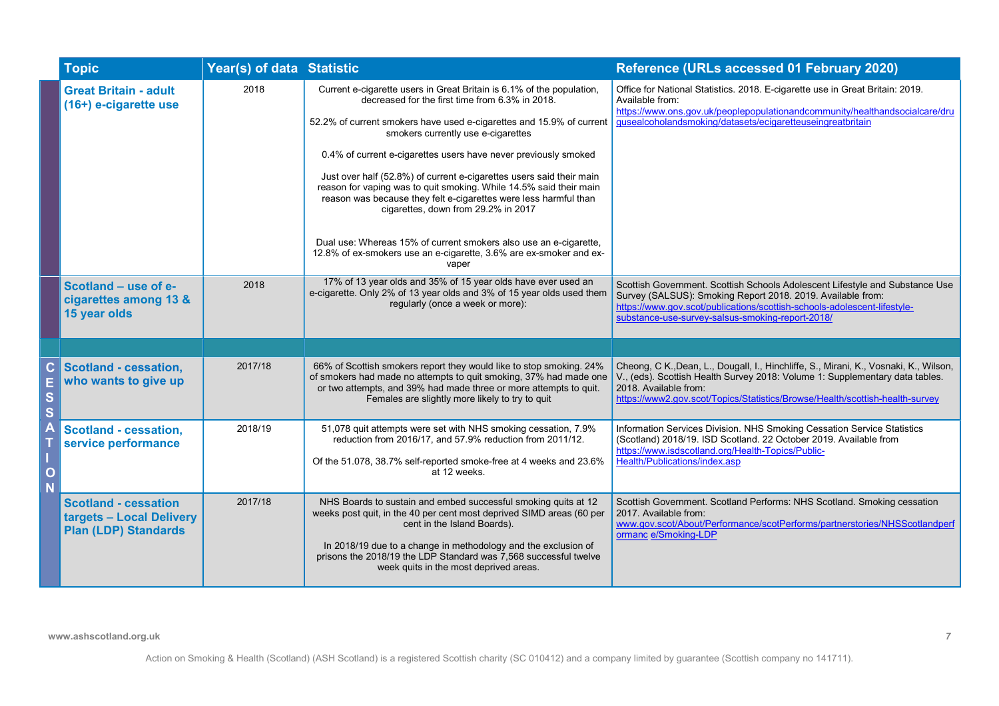|        | <b>Topic</b>                                                                           | Year(s) of data Statistic |                                                                                                                                                                                                                                                                                                                                                       | Reference (URLs accessed 01 February 2020)                                                                                                                                                                                                                                     |
|--------|----------------------------------------------------------------------------------------|---------------------------|-------------------------------------------------------------------------------------------------------------------------------------------------------------------------------------------------------------------------------------------------------------------------------------------------------------------------------------------------------|--------------------------------------------------------------------------------------------------------------------------------------------------------------------------------------------------------------------------------------------------------------------------------|
|        | <b>Great Britain - adult</b><br>(16+) e-cigarette use                                  | 2018                      | Current e-cigarette users in Great Britain is 6.1% of the population,<br>decreased for the first time from 6.3% in 2018.                                                                                                                                                                                                                              | Office for National Statistics. 2018. E-cigarette use in Great Britain: 2019.<br>Available from:<br>https://www.ons.gov.uk/peoplepopulationandcommunity/healthandsocialcare/dru                                                                                                |
|        |                                                                                        |                           | 52.2% of current smokers have used e-cigarettes and 15.9% of current<br>smokers currently use e-cigarettes                                                                                                                                                                                                                                            | gusealcoholandsmoking/datasets/ecigaretteuseingreatbritain                                                                                                                                                                                                                     |
|        |                                                                                        |                           | 0.4% of current e-cigarettes users have never previously smoked                                                                                                                                                                                                                                                                                       |                                                                                                                                                                                                                                                                                |
|        |                                                                                        |                           | Just over half (52.8%) of current e-cigarettes users said their main<br>reason for vaping was to quit smoking. While 14.5% said their main<br>reason was because they felt e-cigarettes were less harmful than<br>cigarettes, down from 29.2% in 2017                                                                                                 |                                                                                                                                                                                                                                                                                |
|        |                                                                                        |                           | Dual use: Whereas 15% of current smokers also use an e-cigarette,<br>12.8% of ex-smokers use an e-cigarette, 3.6% are ex-smoker and ex-<br>vaper                                                                                                                                                                                                      |                                                                                                                                                                                                                                                                                |
|        | Scotland - use of e-<br>cigarettes among 13 &<br>15 year olds                          | 2018                      | 17% of 13 year olds and 35% of 15 year olds have ever used an<br>e-cigarette. Only 2% of 13 year olds and 3% of 15 year olds used them<br>regularly (once a week or more):                                                                                                                                                                            | Scottish Government. Scottish Schools Adolescent Lifestyle and Substance Use<br>Survey (SALSUS): Smoking Report 2018. 2019. Available from:<br>https://www.gov.scot/publications/scottish-schools-adolescent-lifestyle-<br>substance-use-survey-salsus-smoking-report-2018/    |
|        |                                                                                        |                           |                                                                                                                                                                                                                                                                                                                                                       |                                                                                                                                                                                                                                                                                |
| S<br>Ś | <b>Scotland - cessation,</b><br>who wants to give up                                   | 2017/18                   | 66% of Scottish smokers report they would like to stop smoking. 24%<br>of smokers had made no attempts to quit smoking, 37% had made one<br>or two attempts, and 39% had made three or more attempts to quit.<br>Females are slightly more likely to try to quit                                                                                      | Cheong, C K., Dean, L., Dougall, I., Hinchliffe, S., Mirani, K., Vosnaki, K., Wilson,<br>V., (eds). Scottish Health Survey 2018: Volume 1: Supplementary data tables.<br>2018. Available from:<br>https://www2.gov.scot/Topics/Statistics/Browse/Health/scottish-health-survey |
|        | <b>Scotland - cessation,</b><br>service performance                                    | 2018/19                   | 51,078 quit attempts were set with NHS smoking cessation, 7.9%<br>reduction from 2016/17, and 57.9% reduction from 2011/12.                                                                                                                                                                                                                           | Information Services Division. NHS Smoking Cessation Service Statistics<br>(Scotland) 2018/19. ISD Scotland. 22 October 2019. Available from<br>https://www.isdscotland.org/Health-Topics/Public-                                                                              |
|        |                                                                                        |                           | Of the 51.078, 38.7% self-reported smoke-free at 4 weeks and 23.6%<br>at 12 weeks.                                                                                                                                                                                                                                                                    | Health/Publications/index.asp                                                                                                                                                                                                                                                  |
|        | <b>Scotland - cessation</b><br>targets - Local Delivery<br><b>Plan (LDP) Standards</b> | 2017/18                   | NHS Boards to sustain and embed successful smoking quits at 12<br>weeks post quit, in the 40 per cent most deprived SIMD areas (60 per<br>cent in the Island Boards).<br>In 2018/19 due to a change in methodology and the exclusion of<br>prisons the 2018/19 the LDP Standard was 7,568 successful twelve<br>week quits in the most deprived areas. | Scottish Government. Scotland Performs: NHS Scotland. Smoking cessation<br>2017. Available from:<br>www.gov.scot/About/Performance/scotPerforms/partnerstories/NHSScotlandperf<br>ormanc e/Smoking-LDP                                                                         |
|        |                                                                                        |                           |                                                                                                                                                                                                                                                                                                                                                       |                                                                                                                                                                                                                                                                                |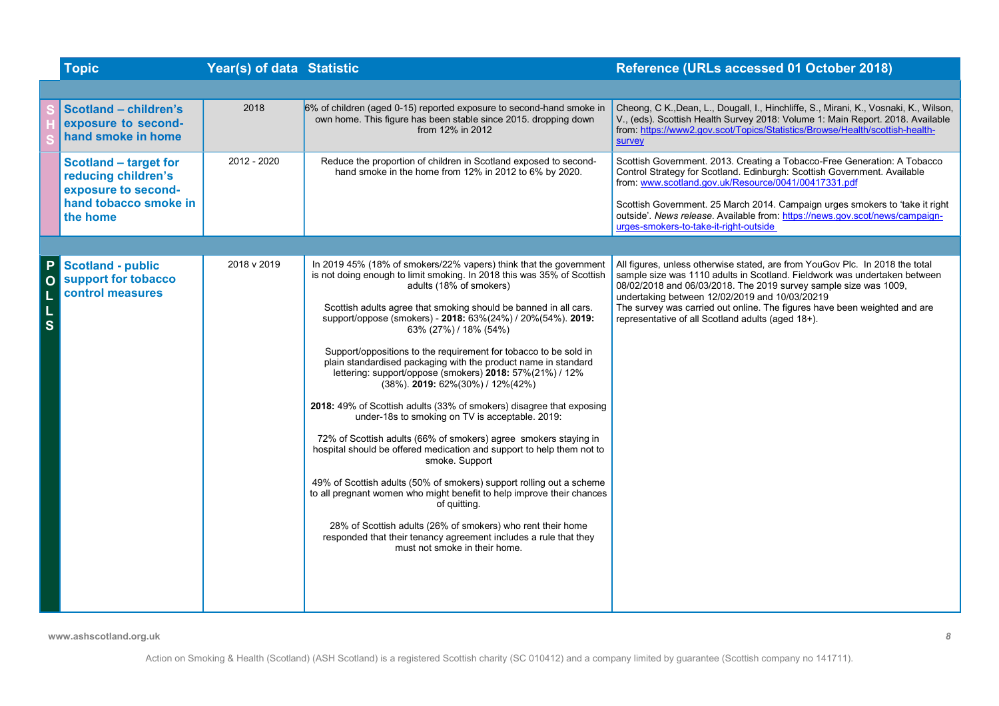|                         | <b>Topic</b>                                                                                        | Year(s) of data Statistic |                                                                                                                                                                                                                                                                                                                                                                                                                                                                                                                                                                                                                                                                                                                                                                                                                                                                                                                                                                                                                                                                                                                                                                                                                     | Reference (URLs accessed 01 October 2018)                                                                                                                                                                                                                                                                                                                                                                         |
|-------------------------|-----------------------------------------------------------------------------------------------------|---------------------------|---------------------------------------------------------------------------------------------------------------------------------------------------------------------------------------------------------------------------------------------------------------------------------------------------------------------------------------------------------------------------------------------------------------------------------------------------------------------------------------------------------------------------------------------------------------------------------------------------------------------------------------------------------------------------------------------------------------------------------------------------------------------------------------------------------------------------------------------------------------------------------------------------------------------------------------------------------------------------------------------------------------------------------------------------------------------------------------------------------------------------------------------------------------------------------------------------------------------|-------------------------------------------------------------------------------------------------------------------------------------------------------------------------------------------------------------------------------------------------------------------------------------------------------------------------------------------------------------------------------------------------------------------|
|                         |                                                                                                     |                           |                                                                                                                                                                                                                                                                                                                                                                                                                                                                                                                                                                                                                                                                                                                                                                                                                                                                                                                                                                                                                                                                                                                                                                                                                     |                                                                                                                                                                                                                                                                                                                                                                                                                   |
|                         | <b>Scotland - children's</b><br>exposure to second-<br>hand smoke in home                           | 2018                      | 6% of children (aged 0-15) reported exposure to second-hand smoke in<br>own home. This figure has been stable since 2015. dropping down<br>from 12% in 2012                                                                                                                                                                                                                                                                                                                                                                                                                                                                                                                                                                                                                                                                                                                                                                                                                                                                                                                                                                                                                                                         | Cheong, C K., Dean, L., Dougall, I., Hinchliffe, S., Mirani, K., Vosnaki, K., Wilson,<br>V., (eds). Scottish Health Survey 2018: Volume 1: Main Report. 2018. Available<br>from: https://www2.gov.scot/Topics/Statistics/Browse/Health/scottish-health-<br>survey                                                                                                                                                 |
|                         | <b>Scotland - target for</b><br>reducing children's<br>exposure to second-<br>hand tobacco smoke in | 2012 - 2020               | Reduce the proportion of children in Scotland exposed to second-<br>hand smoke in the home from 12% in 2012 to 6% by 2020.                                                                                                                                                                                                                                                                                                                                                                                                                                                                                                                                                                                                                                                                                                                                                                                                                                                                                                                                                                                                                                                                                          | Scottish Government. 2013. Creating a Tobacco-Free Generation: A Tobacco<br>Control Strategy for Scotland. Edinburgh: Scottish Government. Available<br>from: www.scotland.gov.uk/Resource/0041/00417331.pdf<br>Scottish Government. 25 March 2014. Campaign urges smokers to 'take it right                                                                                                                      |
|                         | the home                                                                                            |                           |                                                                                                                                                                                                                                                                                                                                                                                                                                                                                                                                                                                                                                                                                                                                                                                                                                                                                                                                                                                                                                                                                                                                                                                                                     | outside'. News release. Available from: https://news.gov.scot/news/campaign-<br>urges-smokers-to-take-it-right-outside                                                                                                                                                                                                                                                                                            |
|                         |                                                                                                     |                           |                                                                                                                                                                                                                                                                                                                                                                                                                                                                                                                                                                                                                                                                                                                                                                                                                                                                                                                                                                                                                                                                                                                                                                                                                     |                                                                                                                                                                                                                                                                                                                                                                                                                   |
| $\overline{\mathbf{s}}$ | <b>Scotland - public</b><br>support for tobacco<br>control measures                                 | 2018 v 2019               | In 2019 45% (18% of smokers/22% vapers) think that the government<br>is not doing enough to limit smoking. In 2018 this was 35% of Scottish<br>adults (18% of smokers)<br>Scottish adults agree that smoking should be banned in all cars.<br>support/oppose (smokers) - 2018: 63%(24%) / 20%(54%). 2019:<br>63% (27%) / 18% (54%)<br>Support/oppositions to the requirement for tobacco to be sold in<br>plain standardised packaging with the product name in standard<br>lettering: support/oppose (smokers) 2018: 57%(21%) / 12%<br>$(38\%)$ . 2019: 62% $(30\%)$ / 12% $(42\%)$<br>2018: 49% of Scottish adults (33% of smokers) disagree that exposing<br>under-18s to smoking on TV is acceptable. 2019:<br>72% of Scottish adults (66% of smokers) agree smokers staying in<br>hospital should be offered medication and support to help them not to<br>smoke. Support<br>49% of Scottish adults (50% of smokers) support rolling out a scheme<br>to all pregnant women who might benefit to help improve their chances<br>of quitting.<br>28% of Scottish adults (26% of smokers) who rent their home<br>responded that their tenancy agreement includes a rule that they<br>must not smoke in their home. | All figures, unless otherwise stated, are from YouGov Plc. In 2018 the total<br>sample size was 1110 adults in Scotland. Fieldwork was undertaken between<br>08/02/2018 and 06/03/2018. The 2019 survey sample size was 1009,<br>undertaking between 12/02/2019 and 10/03/20219<br>The survey was carried out online. The figures have been weighted and are<br>representative of all Scotland adults (aged 18+). |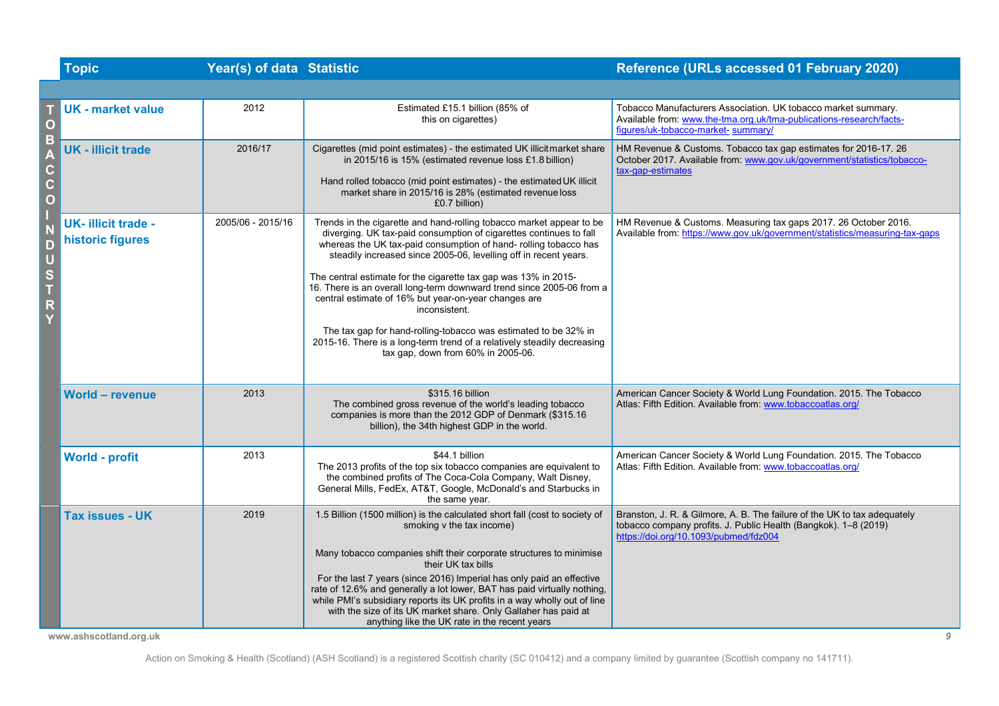|                                | <b>Topic</b>                                     | Year(s) of data Statistic |                                                                                                                                                                                                                                                                                                                                                                                                                                                                                                                                                                                                                                                                                             | Reference (URLs accessed 01 February 2020)                                                                                                                                                |
|--------------------------------|--------------------------------------------------|---------------------------|---------------------------------------------------------------------------------------------------------------------------------------------------------------------------------------------------------------------------------------------------------------------------------------------------------------------------------------------------------------------------------------------------------------------------------------------------------------------------------------------------------------------------------------------------------------------------------------------------------------------------------------------------------------------------------------------|-------------------------------------------------------------------------------------------------------------------------------------------------------------------------------------------|
|                                |                                                  |                           |                                                                                                                                                                                                                                                                                                                                                                                                                                                                                                                                                                                                                                                                                             |                                                                                                                                                                                           |
| O                              | <b>UK</b> - market value                         | 2012                      | Estimated £15.1 billion (85% of<br>this on cigarettes)                                                                                                                                                                                                                                                                                                                                                                                                                                                                                                                                                                                                                                      | Tobacco Manufacturers Association. UK tobacco market summary.<br>Available from: www.the-tma.org.uk/tma-publications-research/facts-<br>figures/uk-tobacco-market-summary/                |
| В<br>C.<br>c<br>$\overline{O}$ | <b>UK - illicit trade</b>                        | 2016/17                   | Cigarettes (mid point estimates) - the estimated UK illicitmarket share<br>in 2015/16 is 15% (estimated revenue loss £1.8 billion)<br>Hand rolled tobacco (mid point estimates) - the estimated UK illicit<br>market share in 2015/16 is 28% (estimated revenue loss<br>£0.7 billion)                                                                                                                                                                                                                                                                                                                                                                                                       | HM Revenue & Customs. Tobacco tax gap estimates for 2016-17. 26<br>October 2017. Available from: www.gov.uk/government/statistics/tobacco-<br>tax-gap-estimates                           |
| $\cup$<br>S<br>T<br>R          | <b>UK-illicit trade -</b><br>historic figures    | 2005/06 - 2015/16         | Trends in the cigarette and hand-rolling tobacco market appear to be<br>diverging. UK tax-paid consumption of cigarettes continues to fall<br>whereas the UK tax-paid consumption of hand- rolling tobacco has<br>steadily increased since 2005-06, levelling off in recent years.<br>The central estimate for the cigarette tax gap was 13% in 2015-<br>16. There is an overall long-term downward trend since 2005-06 from a<br>central estimate of 16% but year-on-year changes are<br>inconsistent.<br>The tax gap for hand-rolling-tobacco was estimated to be 32% in<br>2015-16. There is a long-term trend of a relatively steadily decreasing<br>tax gap, down from 60% in 2005-06. | HM Revenue & Customs. Measuring tax gaps 2017. 26 October 2016.<br>Available from: https://www.gov.uk/government/statistics/measuring-tax-gaps                                            |
|                                | <b>World - revenue</b>                           | 2013                      | \$315.16 billion<br>The combined gross revenue of the world's leading tobacco<br>companies is more than the 2012 GDP of Denmark (\$315.16<br>billion), the 34th highest GDP in the world.                                                                                                                                                                                                                                                                                                                                                                                                                                                                                                   | American Cancer Society & World Lung Foundation. 2015. The Tobacco<br>Atlas: Fifth Edition. Available from: www.tobaccoatlas.org/                                                         |
|                                | World - profit                                   | 2013                      | \$44.1 billion<br>The 2013 profits of the top six tobacco companies are equivalent to<br>the combined profits of The Coca-Cola Company, Walt Disney,<br>General Mills, FedEx, AT&T, Google, McDonald's and Starbucks in<br>the same year.                                                                                                                                                                                                                                                                                                                                                                                                                                                   | American Cancer Society & World Lung Foundation. 2015. The Tobacco<br>Atlas: Fifth Edition. Available from: www.tobaccoatlas.org/                                                         |
|                                | <b>Tax issues - UK</b><br>www.ashscotland.org.uk | 2019                      | 1.5 Billion (1500 million) is the calculated short fall (cost to society of<br>smoking v the tax income)<br>Many tobacco companies shift their corporate structures to minimise<br>their UK tax bills<br>For the last 7 years (since 2016) Imperial has only paid an effective<br>rate of 12.6% and generally a lot lower, BAT has paid virtually nothing,<br>while PMI's subsidiary reports its UK profits in a way wholly out of line<br>with the size of its UK market share. Only Gallaher has paid at<br>anything like the UK rate in the recent years                                                                                                                                 | Branston, J. R. & Gilmore, A. B. The failure of the UK to tax adequately<br>tobacco company profits. J. Public Health (Bangkok). 1-8 (2019)<br>https://doi.org/10.1093/pubmed/fdz004<br>9 |